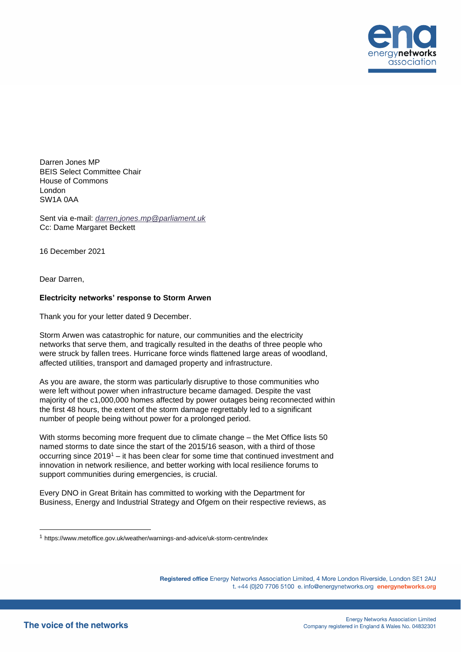

Darren Jones MP BEIS Select Committee Chair House of Commons London SW1A 0AA

Sent via e-mail: *[darren.jones.mp@parliament.uk](mailto:darren.jones.mp@parliament.uk)* Cc: Dame Margaret Beckett

16 December 2021

Dear Darren,

### **Electricity networks' response to Storm Arwen**

Thank you for your letter dated 9 December.

Storm Arwen was catastrophic for nature, our communities and the electricity networks that serve them, and tragically resulted in the deaths of three people who were struck by fallen trees. Hurricane force winds flattened large areas of woodland, affected utilities, transport and damaged property and infrastructure.

As you are aware, the storm was particularly disruptive to those communities who were left without power when infrastructure became damaged. Despite the vast majority of the c1,000,000 homes affected by power outages being reconnected within the first 48 hours, the extent of the storm damage regrettably led to a significant number of people being without power for a prolonged period.

With storms becoming more frequent due to climate change – the Met Office lists 50 named storms to date since the start of the 2015/16 season, with a third of those occurring since 2019 <sup>1</sup> – it has been clear for some time that continued investment and innovation in network resilience, and better working with local resilience forums to support communities during emergencies, is crucial.

Every DNO in Great Britain has committed to working with the Department for Business, Energy and Industrial Strategy and Ofgem on their respective reviews, as

Registered office Energy Networks Association Limited, 4 More London Riverside, London SE1 2AU t. +44 (0)20 7706 5100 e. info@energynetworks.org energynetworks.org

<sup>1</sup> https://www.metoffice.gov.uk/weather/warnings-and-advice/uk-storm-centre/index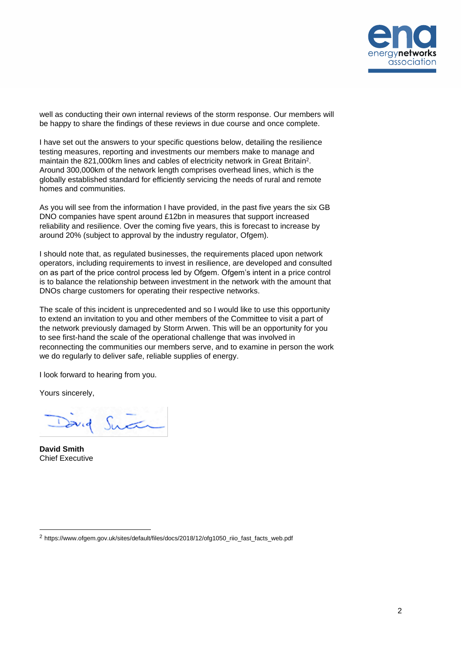

well as conducting their own internal reviews of the storm response. Our members will be happy to share the findings of these reviews in due course and once complete.

I have set out the answers to your specific questions below, detailing the resilience testing measures, reporting and investments our members make to manage and maintain the 821,000km lines and cables of electricity network in Great Britain<sup>2</sup>. Around 300,000km of the network length comprises overhead lines, which is the globally established standard for efficiently servicing the needs of rural and remote homes and communities.

As you will see from the information I have provided, in the past five years the six GB DNO companies have spent around £12bn in measures that support increased reliability and resilience. Over the coming five years, this is forecast to increase by around 20% (subject to approval by the industry regulator, Ofgem).

I should note that, as regulated businesses, the requirements placed upon network operators, including requirements to invest in resilience, are developed and consulted on as part of the price control process led by Ofgem. Ofgem's intent in a price control is to balance the relationship between investment in the network with the amount that DNOs charge customers for operating their respective networks.

The scale of this incident is unprecedented and so I would like to use this opportunity to extend an invitation to you and other members of the Committee to visit a part of the network previously damaged by Storm Arwen. This will be an opportunity for you to see first-hand the scale of the operational challenge that was involved in reconnecting the communities our members serve, and to examine in person the work we do regularly to deliver safe, reliable supplies of energy.

I look forward to hearing from you.

Yours sincerely,

Darid Succi

**David Smith** Chief Executive

<sup>2</sup> https://www.ofgem.gov.uk/sites/default/files/docs/2018/12/ofg1050\_riio\_fast\_facts\_web.pdf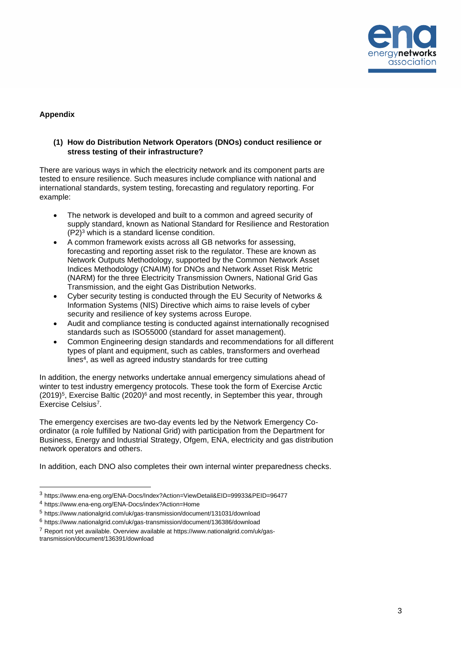

# **Appendix**

#### **(1) How do Distribution Network Operators (DNOs) conduct resilience or stress testing of their infrastructure?**

There are various ways in which the electricity network and its component parts are tested to ensure resilience. Such measures include compliance with national and international standards, system testing, forecasting and regulatory reporting. For example:

- The network is developed and built to a common and agreed security of supply standard, known as National Standard for Resilience and Restoration  $(P2)<sup>3</sup>$  which is a standard license condition.
- A common framework exists across all GB networks for assessing, forecasting and reporting asset risk to the regulator. These are known as Network Outputs Methodology, supported by the Common Network Asset Indices Methodology (CNAIM) for DNOs and Network Asset Risk Metric (NARM) for the three Electricity Transmission Owners, National Grid Gas Transmission, and the eight Gas Distribution Networks.
- Cyber security testing is conducted through the EU Security of Networks & Information Systems (NIS) Directive which aims to raise levels of cyber security and resilience of key systems across Europe.
- Audit and compliance testing is conducted against internationally recognised standards such as ISO55000 (standard for asset management).
- Common Engineering design standards and recommendations for all different types of plant and equipment, such as cables, transformers and overhead lines<sup>4</sup>, as well as agreed industry standards for tree cutting

In addition, the energy networks undertake annual emergency simulations ahead of winter to test industry emergency protocols. These took the form of Exercise Arctic (2019)<sup>5</sup>, Exercise Baltic (2020)<sup>6</sup> and most recently, in September this year, through Exercise Celsius<sup>7</sup> .

The emergency exercises are two-day events led by the Network Emergency Coordinator (a role fulfilled by National Grid) with participation from the Department for Business, Energy and Industrial Strategy, Ofgem, ENA, electricity and gas distribution network operators and others.

In addition, each DNO also completes their own internal winter preparedness checks.

<sup>3</sup> https://www.ena-eng.org/ENA-Docs/Index?Action=ViewDetail&EID=99933&PEID=96477

<sup>4</sup> https://www.ena-eng.org/ENA-Docs/index?Action=Home

<sup>5</sup> https://www.nationalgrid.com/uk/gas-transmission/document/131031/download

<sup>6</sup> https://www.nationalgrid.com/uk/gas-transmission/document/136386/download

<sup>7</sup> Report not yet available. Overview available at https://www.nationalgrid.com/uk/gas-

transmission/document/136391/download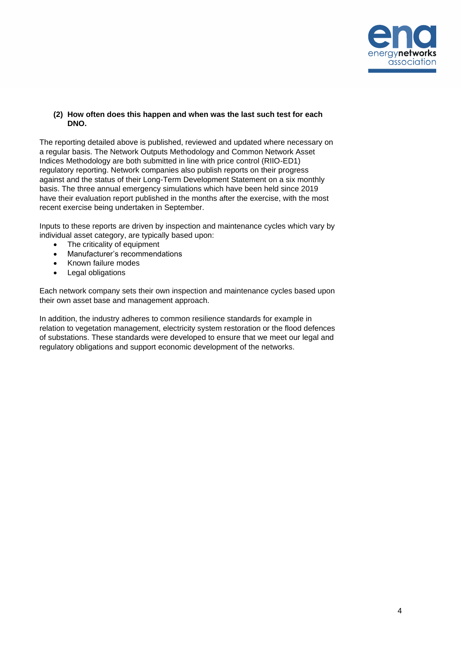

## **(2) How often does this happen and when was the last such test for each DNO.**

The reporting detailed above is published, reviewed and updated where necessary on a regular basis. The Network Outputs Methodology and Common Network Asset Indices Methodology are both submitted in line with price control (RIIO-ED1) regulatory reporting. Network companies also publish reports on their progress against and the status of their Long-Term Development Statement on a six monthly basis. The three annual emergency simulations which have been held since 2019 have their evaluation report published in the months after the exercise, with the most recent exercise being undertaken in September.

Inputs to these reports are driven by inspection and maintenance cycles which vary by individual asset category, are typically based upon:

- The criticality of equipment
- Manufacturer's recommendations
- Known failure modes
- Legal obligations

Each network company sets their own inspection and maintenance cycles based upon their own asset base and management approach.

In addition, the industry adheres to common resilience standards for example in relation to vegetation management, electricity system restoration or the flood defences of substations. These standards were developed to ensure that we meet our legal and regulatory obligations and support economic development of the networks.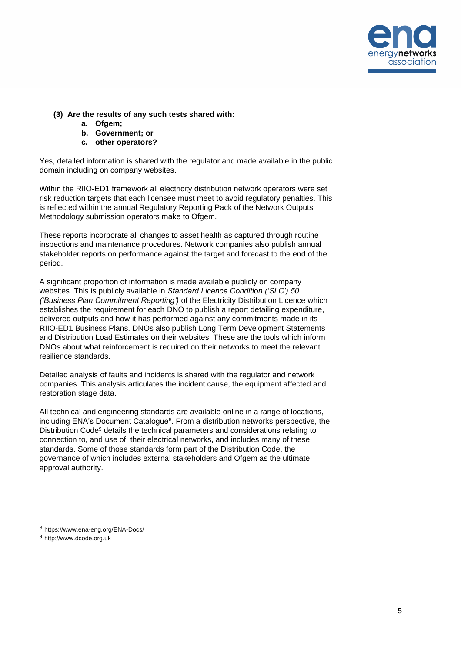

- **(3) Are the results of any such tests shared with:**
	- **a. Ofgem;**
	- **b. Government; or**
	- **c. other operators?**

Yes, detailed information is shared with the regulator and made available in the public domain including on company websites.

Within the RIIO-ED1 framework all electricity distribution network operators were set risk reduction targets that each licensee must meet to avoid regulatory penalties. This is reflected within the annual Regulatory Reporting Pack of the Network Outputs Methodology submission operators make to Ofgem.

These reports incorporate all changes to asset health as captured through routine inspections and maintenance procedures. Network companies also publish annual stakeholder reports on performance against the target and forecast to the end of the period.

A significant proportion of information is made available publicly on company websites. This is publicly available in *Standard Licence Condition ('SLC') 50 ('Business Plan Commitment Reporting')* of the Electricity Distribution Licence which establishes the requirement for each DNO to publish a report detailing expenditure, delivered outputs and how it has performed against any commitments made in its RIIO-ED1 Business Plans. DNOs also publish Long Term Development Statements and Distribution Load Estimates on their websites. These are the tools which inform DNOs about what reinforcement is required on their networks to meet the relevant resilience standards.

Detailed analysis of faults and incidents is shared with the regulator and network companies. This analysis articulates the incident cause, the equipment affected and restoration stage data.

All technical and engineering standards are available online in a range of locations, including ENA's Document Catalogue<sup>8</sup>. From a distribution networks perspective, the Distribution Code<sup>9</sup> details the technical parameters and considerations relating to connection to, and use of, their electrical networks, and includes many of these standards. Some of those standards form part of the Distribution Code, the governance of which includes external stakeholders and Ofgem as the ultimate approval authority.

<sup>8</sup> https://www.ena-eng.org/ENA-Docs/

<sup>9</sup> http://www.dcode.org.uk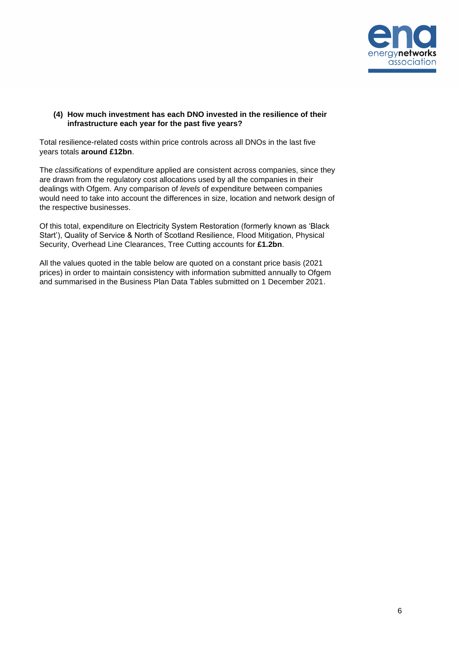

## **(4) How much investment has each DNO invested in the resilience of their infrastructure each year for the past five years?**

Total resilience-related costs within price controls across all DNOs in the last five years totals **around £12bn**.

The *classifications* of expenditure applied are consistent across companies, since they are drawn from the regulatory cost allocations used by all the companies in their dealings with Ofgem. Any comparison of *levels* of expenditure between companies would need to take into account the differences in size, location and network design of the respective businesses.

Of this total, expenditure on Electricity System Restoration (formerly known as 'Black Start'), Quality of Service & North of Scotland Resilience, Flood Mitigation, Physical Security, Overhead Line Clearances, Tree Cutting accounts for **£1.2bn**.

All the values quoted in the table below are quoted on a constant price basis (2021 prices) in order to maintain consistency with information submitted annually to Ofgem and summarised in the Business Plan Data Tables submitted on 1 December 2021.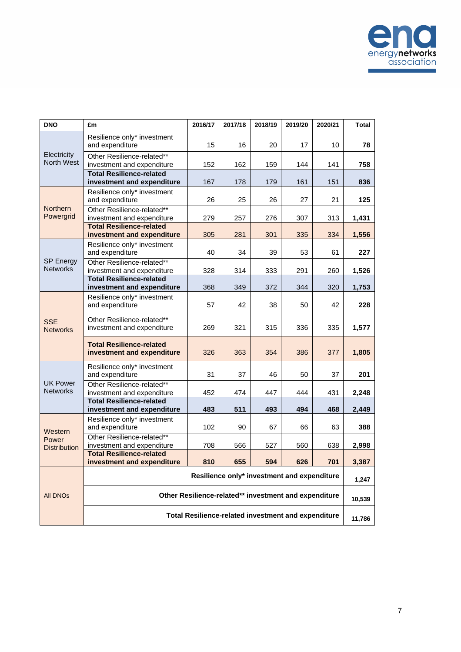

| <b>DNO</b>                              | £m                                                            | 2016/17 | 2017/18 | 2018/19 | 2019/20 | 2020/21 | <b>Total</b> |  |
|-----------------------------------------|---------------------------------------------------------------|---------|---------|---------|---------|---------|--------------|--|
| Electricity<br>North West               | Resilience only* investment<br>and expenditure                | 15      | 16      | 20      | 17      | 10      | 78           |  |
|                                         | Other Resilience-related**<br>investment and expenditure      | 152     | 162     | 159     | 144     | 141     | 758          |  |
|                                         | <b>Total Resilience-related</b><br>investment and expenditure | 167     | 178     | 179     | 161     | 151     | 836          |  |
| <b>Northern</b><br>Powergrid            | Resilience only* investment<br>and expenditure                | 26      | 25      | 26      | 27      | 21      | 125          |  |
|                                         | Other Resilience-related**<br>investment and expenditure      | 279     | 257     | 276     | 307     | 313     | 1,431        |  |
|                                         | <b>Total Resilience-related</b><br>investment and expenditure | 305     | 281     | 301     | 335     | 334     | 1,556        |  |
| <b>SP Energy</b><br><b>Networks</b>     | Resilience only* investment<br>and expenditure                | 40      | 34      | 39      | 53      | 61      | 227          |  |
|                                         | Other Resilience-related**<br>investment and expenditure      | 328     | 314     | 333     | 291     | 260     | 1,526        |  |
|                                         | <b>Total Resilience-related</b><br>investment and expenditure | 368     | 349     | 372     | 344     | 320     | 1,753        |  |
| <b>SSE</b><br><b>Networks</b>           | Resilience only* investment<br>and expenditure                | 57      | 42      | 38      | 50      | 42      | 228          |  |
|                                         | Other Resilience-related**<br>investment and expenditure      | 269     | 321     | 315     | 336     | 335     | 1,577        |  |
|                                         | <b>Total Resilience-related</b><br>investment and expenditure | 326     | 363     | 354     | 386     | 377     | 1,805        |  |
| <b>UK Power</b><br>Networks             | Resilience only* investment<br>and expenditure                | 31      | 37      | 46      | 50      | 37      | 201          |  |
|                                         | Other Resilience-related**<br>investment and expenditure      | 452     | 474     | 447     | 444     | 431     | 2,248        |  |
|                                         | <b>Total Resilience-related</b><br>investment and expenditure | 483     | 511     | 493     | 494     | 468     | 2,449        |  |
| Western<br>Power<br><b>Distribution</b> | Resilience only* investment<br>and expenditure                | 102     | 90      | 67      | 66      | 63      | 388          |  |
|                                         | Other Resilience-related**<br>investment and expenditure      | 708     | 566     | 527     | 560     | 638     | 2,998        |  |
|                                         | <b>Total Resilience-related</b>                               |         |         |         |         |         | 3,387        |  |
| <b>All DNOs</b>                         | 594<br>810<br>655<br>626<br>701<br>investment and expenditure |         |         |         |         |         |              |  |
|                                         | Resilience only* investment and expenditure                   |         |         |         |         |         |              |  |
|                                         | Other Resilience-related** investment and expenditure         |         |         |         |         |         |              |  |
|                                         | Total Resilience-related investment and expenditure           |         |         |         |         |         |              |  |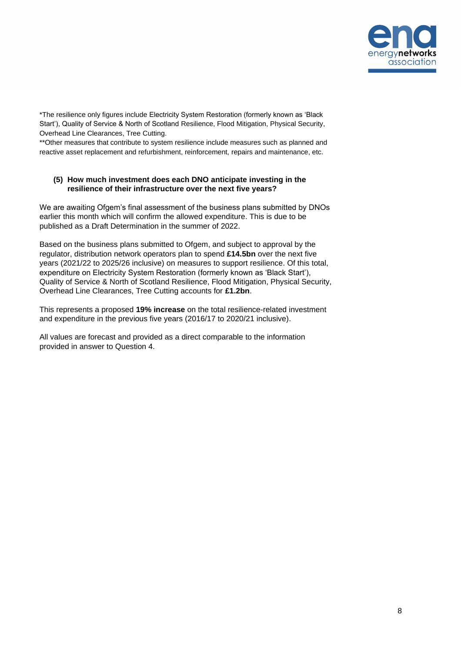

\*The resilience only figures include Electricity System Restoration (formerly known as 'Black Start'), Quality of Service & North of Scotland Resilience, Flood Mitigation, Physical Security, Overhead Line Clearances, Tree Cutting.

\*\*Other measures that contribute to system resilience include measures such as planned and reactive asset replacement and refurbishment, reinforcement, repairs and maintenance, etc.

### **(5) How much investment does each DNO anticipate investing in the resilience of their infrastructure over the next five years?**

We are awaiting Ofgem's final assessment of the business plans submitted by DNOs earlier this month which will confirm the allowed expenditure. This is due to be published as a Draft Determination in the summer of 2022.

Based on the business plans submitted to Ofgem, and subject to approval by the regulator, distribution network operators plan to spend **£14.5bn** over the next five years (2021/22 to 2025/26 inclusive) on measures to support resilience. Of this total, expenditure on Electricity System Restoration (formerly known as 'Black Start'), Quality of Service & North of Scotland Resilience, Flood Mitigation, Physical Security, Overhead Line Clearances, Tree Cutting accounts for **£1.2bn**.

This represents a proposed **19% increase** on the total resilience-related investment and expenditure in the previous five years (2016/17 to 2020/21 inclusive).

All values are forecast and provided as a direct comparable to the information provided in answer to Question 4.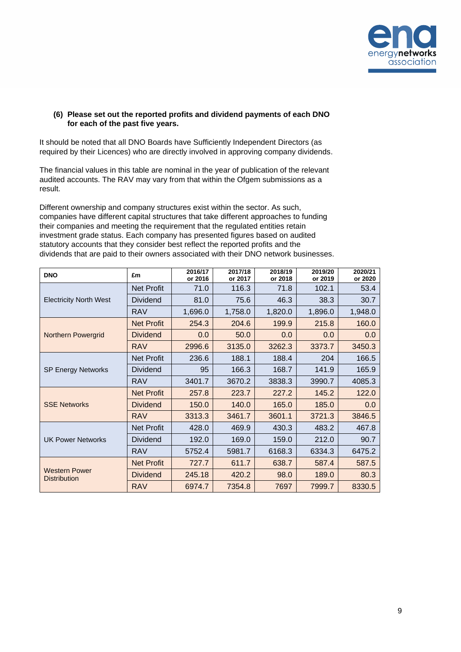

# **(6) Please set out the reported profits and dividend payments of each DNO for each of the past five years.**

It should be noted that all DNO Boards have Sufficiently Independent Directors (as required by their Licences) who are directly involved in approving company dividends.

The financial values in this table are nominal in the year of publication of the relevant audited accounts. The RAV may vary from that within the Ofgem submissions as a result.

Different ownership and company structures exist within the sector. As such, companies have different capital structures that take different approaches to funding their companies and meeting the requirement that the regulated entities retain investment grade status. Each company has presented figures based on audited statutory accounts that they consider best reflect the reported profits and the dividends that are paid to their owners associated with their DNO network businesses.

| <b>DNO</b>                                  | £m                | 2016/17<br>or 2016 | 2017/18<br>or 2017 | 2018/19<br>or 2018 | 2019/20<br>or 2019 | 2020/21<br>or 2020 |
|---------------------------------------------|-------------------|--------------------|--------------------|--------------------|--------------------|--------------------|
|                                             | <b>Net Profit</b> | 71.0               | 116.3              | 71.8               | 102.1              | 53.4               |
| <b>Electricity North West</b>               | <b>Dividend</b>   | 81.0               | 75.6               | 46.3               | 38.3               | 30.7               |
|                                             | <b>RAV</b>        | 1,696.0            | 1,758.0            | 1,820.0            | 1,896.0            | 1,948.0            |
|                                             | <b>Net Profit</b> | 254.3              | 204.6              | 199.9              | 215.8              | 160.0              |
| <b>Northern Powergrid</b>                   | <b>Dividend</b>   | 0.0                | 50.0               | 0.0                | 0.0                | 0.0                |
|                                             | <b>RAV</b>        | 2996.6             | 3135.0             | 3262.3             | 3373.7             | 3450.3             |
|                                             | <b>Net Profit</b> | 236.6              | 188.1              | 188.4              | 204                | 166.5              |
| <b>SP Energy Networks</b>                   | <b>Dividend</b>   | 95                 | 166.3              | 168.7              | 141.9              | 165.9              |
|                                             | <b>RAV</b>        | 3401.7             | 3670.2             | 3838.3             | 3990.7             | 4085.3             |
|                                             | <b>Net Profit</b> | 257.8              | 223.7              | 227.2              | 145.2              | 122.0              |
| <b>SSE Networks</b>                         | <b>Dividend</b>   | 150.0              | 140.0              | 165.0              | 185.0              | 0.0                |
|                                             | <b>RAV</b>        | 3313.3             | 3461.7             | 3601.1             | 3721.3             | 3846.5             |
|                                             | <b>Net Profit</b> | 428.0              | 469.9              | 430.3              | 483.2              | 467.8              |
| <b>UK Power Networks</b>                    | <b>Dividend</b>   | 192.0              | 169.0              | 159.0              | 212.0              | 90.7               |
|                                             | <b>RAV</b>        | 5752.4             | 5981.7             | 6168.3             | 6334.3             | 6475.2             |
|                                             | <b>Net Profit</b> | 727.7              | 611.7              | 638.7              | 587.4              | 587.5              |
| <b>Western Power</b><br><b>Distribution</b> | <b>Dividend</b>   | 245.18             | 420.2              | 98.0               | 189.0              | 80.3               |
|                                             | <b>RAV</b>        | 6974.7             | 7354.8             | 7697               | 7999.7             | 8330.5             |